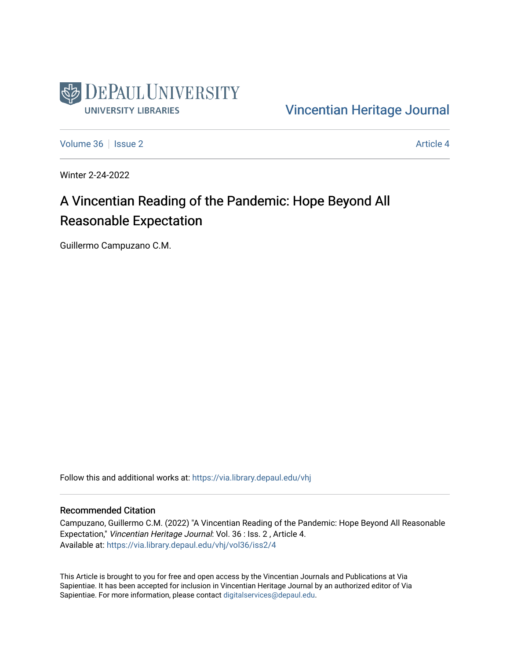

[Vincentian Heritage Journal](https://via.library.depaul.edu/vhj) 

[Volume 36](https://via.library.depaul.edu/vhj/vol36) | [Issue 2](https://via.library.depaul.edu/vhj/vol36/iss2) Article 4

Winter 2-24-2022

# A Vincentian Reading of the Pandemic: Hope Beyond All Reasonable Expectation

Guillermo Campuzano C.M.

Follow this and additional works at: [https://via.library.depaul.edu/vhj](https://via.library.depaul.edu/vhj?utm_source=via.library.depaul.edu%2Fvhj%2Fvol36%2Fiss2%2F4&utm_medium=PDF&utm_campaign=PDFCoverPages) 

#### Recommended Citation

Campuzano, Guillermo C.M. (2022) "A Vincentian Reading of the Pandemic: Hope Beyond All Reasonable Expectation," Vincentian Heritage Journal: Vol. 36 : Iss. 2, Article 4. Available at: [https://via.library.depaul.edu/vhj/vol36/iss2/4](https://via.library.depaul.edu/vhj/vol36/iss2/4?utm_source=via.library.depaul.edu%2Fvhj%2Fvol36%2Fiss2%2F4&utm_medium=PDF&utm_campaign=PDFCoverPages) 

This Article is brought to you for free and open access by the Vincentian Journals and Publications at Via Sapientiae. It has been accepted for inclusion in Vincentian Heritage Journal by an authorized editor of Via Sapientiae. For more information, please contact [digitalservices@depaul.edu](mailto:digitalservices@depaul.edu).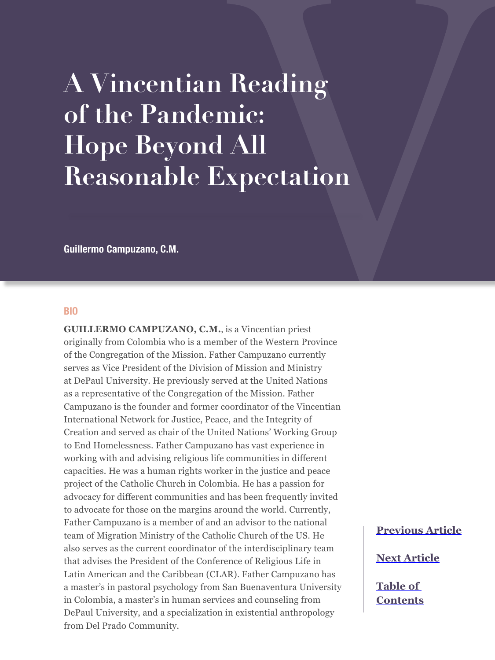# **A Vincentian Reading of the Pandemic: Hope Beyond All Reasonable Expectation**

**Guillermo Campuzano, C.M.**

#### **BIO**

**GUILLERMO CAMPUZANO, C.M.**, is a Vincentian priest originally from Colombia who is a member of the Western Province of the Congregation of the Mission. Father Campuzano currently serves as Vice President of the Division of Mission and Ministry at DePaul University. He previously served at the United Nations as a representative of the Congregation of the Mission. Father Campuzano is the founder and former coordinator of the Vincentian International Network for Justice, Peace, and the Integrity of Creation and served as chair of the United Nations' Working Group to End Homelessness. Father Campuzano has vast experience in working with and advising religious life communities in different capacities. He was a human rights worker in the justice and peace project of the Catholic Church in Colombia. He has a passion for advocacy for different communities and has been frequently invited to advocate for those on the margins around the world. Currently, Father Campuzano is a member of and an advisor to the national team of Migration Ministry of the Catholic Church of the US. He also serves as the current coordinator of the interdisciplinary team that advises the President of the Conference of Religious Life in Latin American and the Caribbean (CLAR). Father Campuzano has a master's in pastoral psychology from San Buenaventura University in Colombia, a master's in human services and counseling from DePaul University, and a specialization in existential anthropology from Del Prado Community.

**[Previous Article](#page--1-0)**

**[Next Article](#page--1-0)**

**[Table of](#page--1-0)  [Contents](#page--1-0)**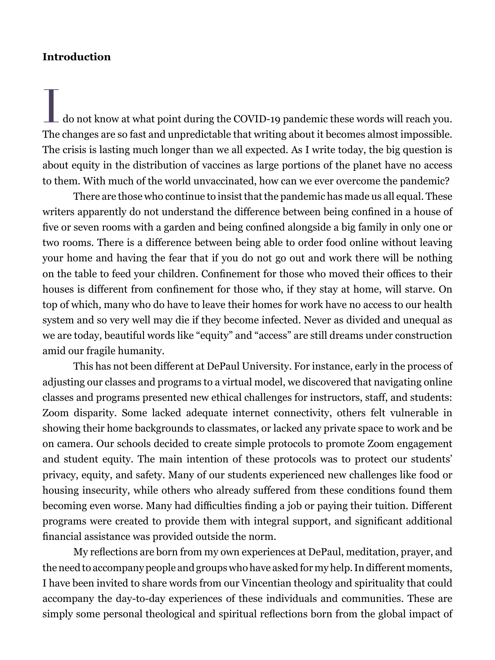#### **Introduction**

 $\blacksquare$  do not know at what point during the COVID-19 pandemic these words will reach you. The changes are so fast and unpredictable that writing about it becomes almost impossible. The crisis is lasting much longer than we all expected. As I write today, the big question is about equity in the distribution of vaccines as large portions of the planet have no access to them. With much of the world unvaccinated, how can we ever overcome the pandemic?

There are those who continue to insist that the pandemic has made us all equal. These writers apparently do not understand the difference between being confined in a house of five or seven rooms with a garden and being confined alongside a big family in only one or two rooms. There is a difference between being able to order food online without leaving your home and having the fear that if you do not go out and work there will be nothing on the table to feed your children. Confinement for those who moved their offices to their houses is different from confinement for those who, if they stay at home, will starve. On top of which, many who do have to leave their homes for work have no access to our health system and so very well may die if they become infected. Never as divided and unequal as we are today, beautiful words like "equity" and "access" are still dreams under construction amid our fragile humanity.

This has not been different at DePaul University. For instance, early in the process of adjusting our classes and programs to a virtual model, we discovered that navigating online classes and programs presented new ethical challenges for instructors, staff, and students: Zoom disparity. Some lacked adequate internet connectivity, others felt vulnerable in showing their home backgrounds to classmates, or lacked any private space to work and be on camera. Our schools decided to create simple protocols to promote Zoom engagement and student equity. The main intention of these protocols was to protect our students' privacy, equity, and safety. Many of our students experienced new challenges like food or housing insecurity, while others who already suffered from these conditions found them becoming even worse. Many had difficulties finding a job or paying their tuition. Different programs were created to provide them with integral support, and significant additional financial assistance was provided outside the norm.

My reflections are born from my own experiences at DePaul, meditation, prayer, and the need to accompany people and groups who have asked for my help. In different moments, I have been invited to share words from our Vincentian theology and spirituality that could accompany the day-to-day experiences of these individuals and communities. These are simply some personal theological and spiritual reflections born from the global impact of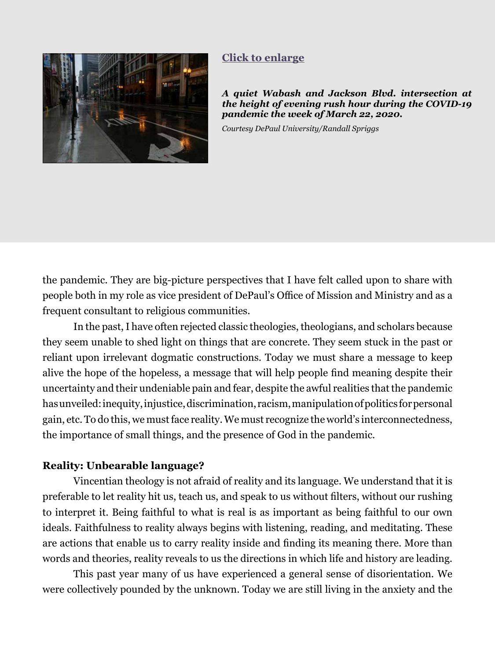<span id="page-3-0"></span>

## **[Click to enlarge](#page-13-0)**

*A quiet Wabash and Jackson Blvd. intersection at the height of evening rush hour during the COVID-19 pandemic the week of March 22, 2020.*

*Courtesy DePaul University/Randall Spriggs*

the pandemic. They are big-picture perspectives that I have felt called upon to share with people both in my role as vice president of DePaul's Office of Mission and Ministry and as a frequent consultant to religious communities.

In the past, I have often rejected classic theologies, theologians, and scholars because they seem unable to shed light on things that are concrete. They seem stuck in the past or reliant upon irrelevant dogmatic constructions. Today we must share a message to keep alive the hope of the hopeless, a message that will help people find meaning despite their uncertainty and their undeniable pain and fear, despite the awful realities that the pandemic has unveiled: inequity, injustice, discrimination, racism, manipulation of politics for personal gain, etc. To do this, we must face reality. We must recognize the world's interconnectedness, the importance of small things, and the presence of God in the pandemic.

#### **Reality: Unbearable language?**

Vincentian theology is not afraid of reality and its language. We understand that it is preferable to let reality hit us, teach us, and speak to us without filters, without our rushing to interpret it. Being faithful to what is real is as important as being faithful to our own ideals. Faithfulness to reality always begins with listening, reading, and meditating. These are actions that enable us to carry reality inside and finding its meaning there. More than words and theories, reality reveals to us the directions in which life and history are leading.

This past year many of us have experienced a general sense of disorientation. We were collectively pounded by the unknown. Today we are still living in the anxiety and the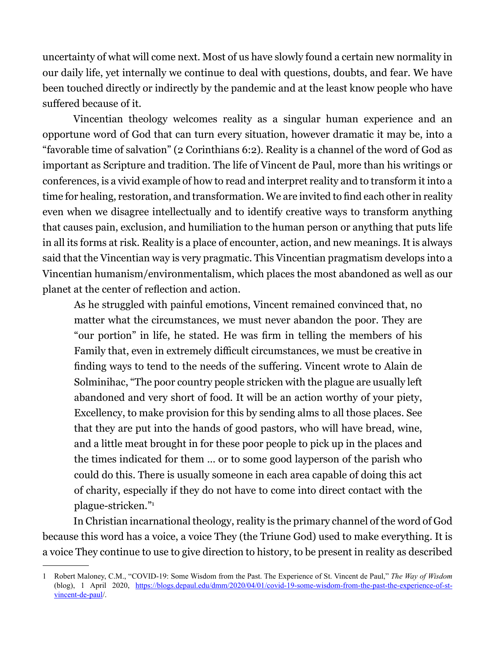uncertainty of what will come next. Most of us have slowly found a certain new normality in our daily life, yet internally we continue to deal with questions, doubts, and fear. We have been touched directly or indirectly by the pandemic and at the least know people who have suffered because of it.

Vincentian theology welcomes reality as a singular human experience and an opportune word of God that can turn every situation, however dramatic it may be, into a "favorable time of salvation" (2 Corinthians 6:2). Reality is a channel of the word of God as important as Scripture and tradition. The life of Vincent de Paul, more than his writings or conferences, is a vivid example of how to read and interpret reality and to transform it into a time for healing, restoration, and transformation. We are invited to find each other in reality even when we disagree intellectually and to identify creative ways to transform anything that causes pain, exclusion, and humiliation to the human person or anything that puts life in all its forms at risk. Reality is a place of encounter, action, and new meanings. It is always said that the Vincentian way is very pragmatic. This Vincentian pragmatism develops into a Vincentian humanism/environmentalism, which places the most abandoned as well as our planet at the center of reflection and action.

As he struggled with painful emotions, Vincent remained convinced that, no matter what the circumstances, we must never abandon the poor. They are "our portion" in life, he stated. He was firm in telling the members of his Family that, even in extremely difficult circumstances, we must be creative in finding ways to tend to the needs of the suffering. Vincent wrote to Alain de Solminihac, "The poor country people stricken with the plague are usually left abandoned and very short of food. It will be an action worthy of your piety, Excellency, to make provision for this by sending alms to all those places. See that they are put into the hands of good pastors, who will have bread, wine, and a little meat brought in for these poor people to pick up in the places and the times indicated for them … or to some good layperson of the parish who could do this. There is usually someone in each area capable of doing this act of charity, especially if they do not have to come into direct contact with the plague-stricken."1

In Christian incarnational theology, reality is the primary channel of the word of God because this word has a voice, a voice They (the Triune God) used to make everything. It is a voice They continue to use to give direction to history, to be present in reality as described

<sup>1</sup> Robert Maloney, C.M., "COVID-19: Some Wisdom from the Past. The Experience of St. Vincent de Paul," *The Way of Wisdom* (blog), 1 April 2020, [https://blogs.depaul.edu/dmm/2020/04/01/covid-19-some-wisdom-from-the-past-the-experience-of-st](https://blogs.depaul.edu/dmm/2020/04/01/covid-19-some-wisdom-from-the-past-the-experience-of-st-vincent-de-paul/)[vincent-de-paul](https://blogs.depaul.edu/dmm/2020/04/01/covid-19-some-wisdom-from-the-past-the-experience-of-st-vincent-de-paul/)/.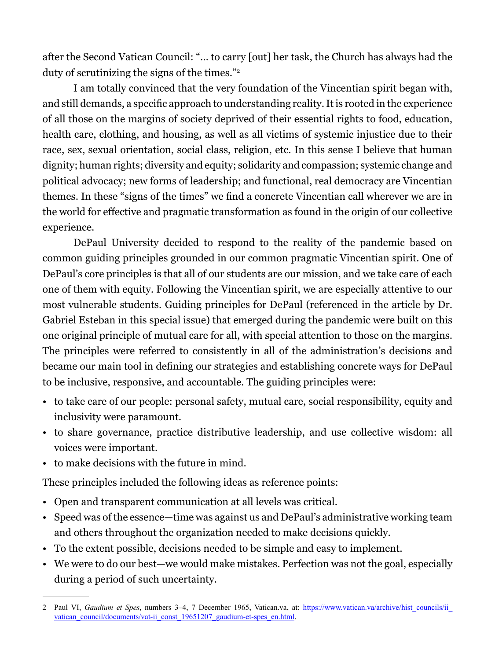after the Second Vatican Council: "… to carry [out] her task, the Church has always had the duty of scrutinizing the signs of the times."2

I am totally convinced that the very foundation of the Vincentian spirit began with, and still demands, a specific approach to understanding reality. It is rooted in the experience of all those on the margins of society deprived of their essential rights to food, education, health care, clothing, and housing, as well as all victims of systemic injustice due to their race, sex, sexual orientation, social class, religion, etc. In this sense I believe that human dignity; human rights; diversity and equity; solidarity and compassion; systemic change and political advocacy; new forms of leadership; and functional, real democracy are Vincentian themes. In these "signs of the times" we find a concrete Vincentian call wherever we are in the world for effective and pragmatic transformation as found in the origin of our collective experience.

DePaul University decided to respond to the reality of the pandemic based on common guiding principles grounded in our common pragmatic Vincentian spirit. One of DePaul's core principles is that all of our students are our mission, and we take care of each one of them with equity. Following the Vincentian spirit, we are especially attentive to our most vulnerable students. Guiding principles for DePaul (referenced in the article by Dr. Gabriel Esteban in this special issue) that emerged during the pandemic were built on this one original principle of mutual care for all, with special attention to those on the margins. The principles were referred to consistently in all of the administration's decisions and became our main tool in defining our strategies and establishing concrete ways for DePaul to be inclusive, responsive, and accountable. The guiding principles were:

- to take care of our people: personal safety, mutual care, social responsibility, equity and inclusivity were paramount.
- to share governance, practice distributive leadership, and use collective wisdom: all voices were important.
- to make decisions with the future in mind.

These principles included the following ideas as reference points:

- Open and transparent communication at all levels was critical.
- Speed was of the essence—time was against us and DePaul's administrative working team and others throughout the organization needed to make decisions quickly.
- To the extent possible, decisions needed to be simple and easy to implement.
- We were to do our best—we would make mistakes. Perfection was not the goal, especially during a period of such uncertainty.

<sup>2</sup> Paul VI, *Gaudium et Spes*, numbers 3–4, 7 December 1965, Vatican.va, at: [https://www.vatican.va/archive/hist\\_councils/ii\\_](https://www.vatican.va/archive/hist_councils/ii_vatican_council/documents/vat-ii_const_19651207_gaudium-et-spes_en.html) vatican\_council/documents/vat-ii\_const\_19651207\_gaudium-et-spes\_en.html.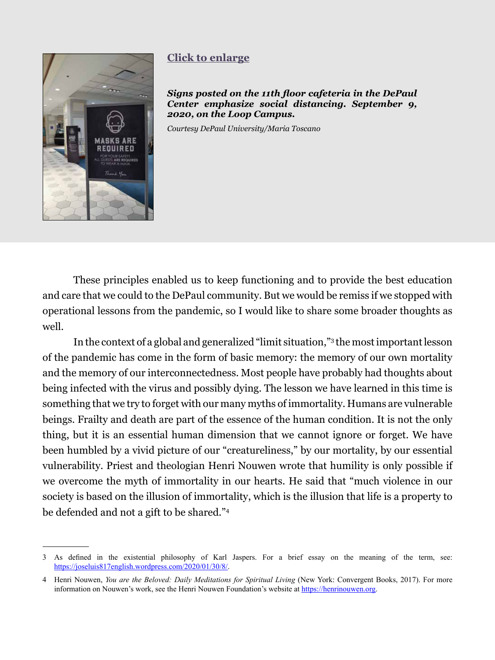<span id="page-6-0"></span>

# **[Click to enlarge](#page-14-0)**

*Signs posted on the 11th floor cafeteria in the DePaul Center emphasize social distancing. September 9, 2020, on the Loop Campus.* 

*Courtesy DePaul University/Maria Toscano*

These principles enabled us to keep functioning and to provide the best education and care that we could to the DePaul community. But we would be remiss if we stopped with operational lessons from the pandemic, so I would like to share some broader thoughts as well.

In the context of a global and generalized "limit situation,"3 the most important lesson of the pandemic has come in the form of basic memory: the memory of our own mortality and the memory of our interconnectedness. Most people have probably had thoughts about being infected with the virus and possibly dying. The lesson we have learned in this time is something that we try to forget with our many myths of immortality. Humans are vulnerable beings. Frailty and death are part of the essence of the human condition. It is not the only thing, but it is an essential human dimension that we cannot ignore or forget. We have been humbled by a vivid picture of our "creatureliness," by our mortality, by our essential vulnerability. Priest and theologian Henri Nouwen wrote that humility is only possible if we overcome the myth of immortality in our hearts. He said that "much violence in our society is based on the illusion of immortality, which is the illusion that life is a property to be defended and not a gift to be shared."4

<sup>3</sup> As defined in the existential philosophy of Karl Jaspers. For a brief essay on the meaning of the term, see: <https://joseluis817english.wordpress.com/2020/01/30/8/>.

<sup>4</sup> Henri Nouwen, *You are the Beloved: Daily Meditations for Spiritual Living* (New York: Convergent Books, 2017). For more information on Nouwen's work, see the Henri Nouwen Foundation's website at [https://henrinouwen.org.](https://henrinouwen.org)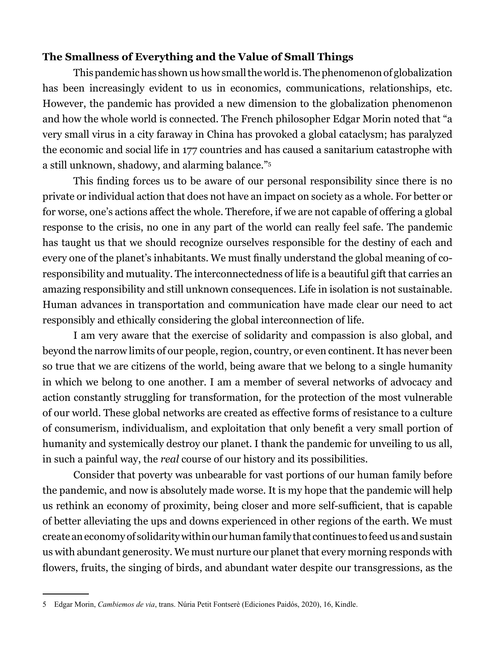## **The Smallness of Everything and the Value of Small Things**

This pandemic has shown us how small the world is. The phenomenon of globalization has been increasingly evident to us in economics, communications, relationships, etc. However, the pandemic has provided a new dimension to the globalization phenomenon and how the whole world is connected. The French philosopher Edgar Morin noted that "a very small virus in a city faraway in China has provoked a global cataclysm; has paralyzed the economic and social life in 177 countries and has caused a sanitarium catastrophe with a still unknown, shadowy, and alarming balance."5

This finding forces us to be aware of our personal responsibility since there is no private or individual action that does not have an impact on society as a whole. For better or for worse, one's actions affect the whole. Therefore, if we are not capable of offering a global response to the crisis, no one in any part of the world can really feel safe. The pandemic has taught us that we should recognize ourselves responsible for the destiny of each and every one of the planet's inhabitants. We must finally understand the global meaning of coresponsibility and mutuality. The interconnectedness of life is a beautiful gift that carries an amazing responsibility and still unknown consequences. Life in isolation is not sustainable. Human advances in transportation and communication have made clear our need to act responsibly and ethically considering the global interconnection of life.

I am very aware that the exercise of solidarity and compassion is also global, and beyond the narrow limits of our people, region, country, or even continent. It has never been so true that we are citizens of the world, being aware that we belong to a single humanity in which we belong to one another. I am a member of several networks of advocacy and action constantly struggling for transformation, for the protection of the most vulnerable of our world. These global networks are created as effective forms of resistance to a culture of consumerism, individualism, and exploitation that only benefit a very small portion of humanity and systemically destroy our planet. I thank the pandemic for unveiling to us all, in such a painful way, the *real* course of our history and its possibilities.

Consider that poverty was unbearable for vast portions of our human family before the pandemic, and now is absolutely made worse. It is my hope that the pandemic will help us rethink an economy of proximity, being closer and more self-sufficient, that is capable of better alleviating the ups and downs experienced in other regions of the earth. We must create an economy of solidarity within our human family that continues to feed us and sustain us with abundant generosity. We must nurture our planet that every morning responds with flowers, fruits, the singing of birds, and abundant water despite our transgressions, as the

<sup>5</sup> Edgar Morin, *Cambiemos de via*, trans. Núria Petit Fontserè (Ediciones Paidós, 2020), 16, Kindle.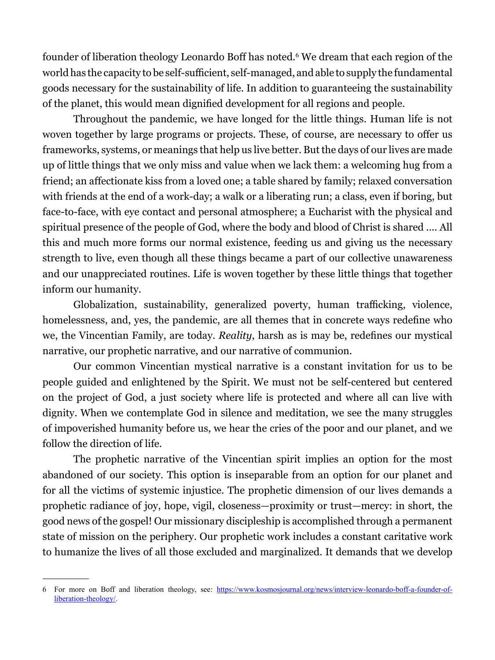founder of liberation theology Leonardo Boff has noted.<sup>6</sup> We dream that each region of the world has the capacity to be self-sufficient, self-managed, and able to supply the fundamental goods necessary for the sustainability of life. In addition to guaranteeing the sustainability of the planet, this would mean dignified development for all regions and people.

Throughout the pandemic, we have longed for the little things. Human life is not woven together by large programs or projects. These, of course, are necessary to offer us frameworks, systems, or meanings that help us live better. But the days of our lives are made up of little things that we only miss and value when we lack them: a welcoming hug from a friend; an affectionate kiss from a loved one; a table shared by family; relaxed conversation with friends at the end of a work-day; a walk or a liberating run; a class, even if boring, but face-to-face, with eye contact and personal atmosphere; a Eucharist with the physical and spiritual presence of the people of God, where the body and blood of Christ is shared .... All this and much more forms our normal existence, feeding us and giving us the necessary strength to live, even though all these things became a part of our collective unawareness and our unappreciated routines. Life is woven together by these little things that together inform our humanity.

Globalization, sustainability, generalized poverty, human trafficking, violence, homelessness, and, yes, the pandemic, are all themes that in concrete ways redefine who we, the Vincentian Family, are today. *Reality*, harsh as is may be, redefines our mystical narrative, our prophetic narrative, and our narrative of communion.

Our common Vincentian mystical narrative is a constant invitation for us to be people guided and enlightened by the Spirit. We must not be self-centered but centered on the project of God, a just society where life is protected and where all can live with dignity. When we contemplate God in silence and meditation, we see the many struggles of impoverished humanity before us, we hear the cries of the poor and our planet, and we follow the direction of life.

The prophetic narrative of the Vincentian spirit implies an option for the most abandoned of our society. This option is inseparable from an option for our planet and for all the victims of systemic injustice. The prophetic dimension of our lives demands a prophetic radiance of joy, hope, vigil, closeness—proximity or trust—mercy: in short, the good news of the gospel! Our missionary discipleship is accomplished through a permanent state of mission on the periphery. Our prophetic work includes a constant caritative work to humanize the lives of all those excluded and marginalized. It demands that we develop

<sup>6</sup> For more on Boff and liberation theology, see: [https://www.kosmosjournal.org/news/interview-leonardo-boff-a-founder-of](https://www.kosmosjournal.org/news/interview-leonardo-boff-a-founder-of-liberation-theology/)[liberation-theology/](https://www.kosmosjournal.org/news/interview-leonardo-boff-a-founder-of-liberation-theology/).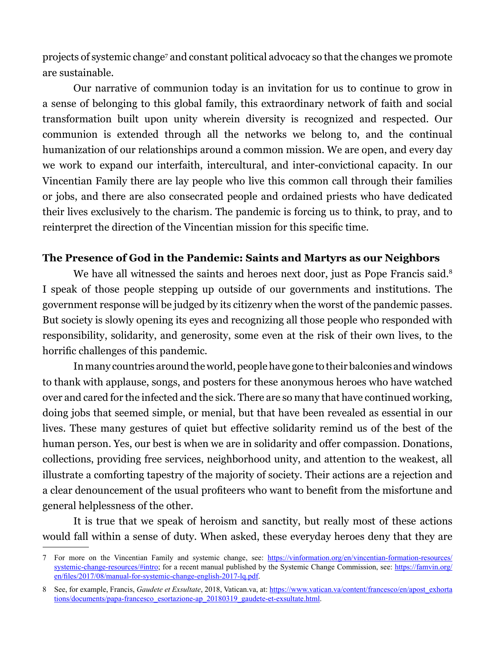projects of systemic change<sup>7</sup> and constant political advocacy so that the changes we promote are sustainable.

Our narrative of communion today is an invitation for us to continue to grow in a sense of belonging to this global family, this extraordinary network of faith and social transformation built upon unity wherein diversity is recognized and respected. Our communion is extended through all the networks we belong to, and the continual humanization of our relationships around a common mission. We are open, and every day we work to expand our interfaith, intercultural, and inter-convictional capacity. In our Vincentian Family there are lay people who live this common call through their families or jobs, and there are also consecrated people and ordained priests who have dedicated their lives exclusively to the charism. The pandemic is forcing us to think, to pray, and to reinterpret the direction of the Vincentian mission for this specific time.

#### **The Presence of God in the Pandemic: Saints and Martyrs as our Neighbors**

We have all witnessed the saints and heroes next door, just as Pope Francis said.<sup>8</sup> I speak of those people stepping up outside of our governments and institutions. The government response will be judged by its citizenry when the worst of the pandemic passes. But society is slowly opening its eyes and recognizing all those people who responded with responsibility, solidarity, and generosity, some even at the risk of their own lives, to the horrific challenges of this pandemic.

In many countries around the world, people have gone to their balconies and windows to thank with applause, songs, and posters for these anonymous heroes who have watched over and cared for the infected and the sick. There are so many that have continued working, doing jobs that seemed simple, or menial, but that have been revealed as essential in our lives. These many gestures of quiet but effective solidarity remind us of the best of the human person. Yes, our best is when we are in solidarity and offer compassion. Donations, collections, providing free services, neighborhood unity, and attention to the weakest, all illustrate a comforting tapestry of the majority of society. Their actions are a rejection and a clear denouncement of the usual profiteers who want to benefit from the misfortune and general helplessness of the other.

It is true that we speak of heroism and sanctity, but really most of these actions would fall within a sense of duty. When asked, these everyday heroes deny that they are

<sup>7</sup> For more on the Vincentian Family and systemic change, see: https://vinformation.org/en/vincentian-formation-resources/ systemic-change-resources/#intro; for a recent manual published by the Systemic Change Commission, see: [https://famvin.org/](https://famvin.org/en/files/2017/08/manual-for-systemic-change-english-2017-lq.pdf) [en/files/2017/08/manual-for-systemic-change-english-2017-lq.pdf](https://famvin.org/en/files/2017/08/manual-for-systemic-change-english-2017-lq.pdf).

<sup>8</sup> See, for example, Francis, *Gaudete et Exsultate*, 2018, Vatican.va, at: [https://www.vatican.va/content/francesco/en/apost\\_exhorta](https://www.vatican.va/content/francesco/en/apost_exhortations/documents/papa-francesco_esortazione-ap_20180319_gaudete-et-exsultate.html) [tions/documents/papa-francesco\\_esortazione-ap\\_20180319\\_gaudete-et-exsultate.html](https://www.vatican.va/content/francesco/en/apost_exhortations/documents/papa-francesco_esortazione-ap_20180319_gaudete-et-exsultate.html).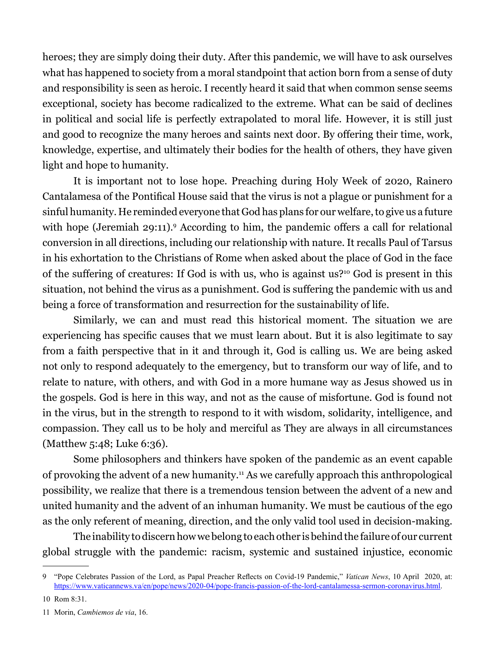heroes; they are simply doing their duty. After this pandemic, we will have to ask ourselves what has happened to society from a moral standpoint that action born from a sense of duty and responsibility is seen as heroic. I recently heard it said that when common sense seems exceptional, society has become radicalized to the extreme. What can be said of declines in political and social life is perfectly extrapolated to moral life. However, it is still just and good to recognize the many heroes and saints next door. By offering their time, work, knowledge, expertise, and ultimately their bodies for the health of others, they have given light and hope to humanity.

It is important not to lose hope. Preaching during Holy Week of 2020, Rainero Cantalamesa of the Pontifical House said that the virus is not a plague or punishment for a sinful humanity. He reminded everyone that God has plans for our welfare, to give us a future with hope (Jeremiah 29:11).<sup>9</sup> According to him, the pandemic offers a call for relational conversion in all directions, including our relationship with nature. It recalls Paul of Tarsus in his exhortation to the Christians of Rome when asked about the place of God in the face of the suffering of creatures: If God is with us, who is against us?10 God is present in this situation, not behind the virus as a punishment. God is suffering the pandemic with us and being a force of transformation and resurrection for the sustainability of life.

Similarly, we can and must read this historical moment. The situation we are experiencing has specific causes that we must learn about. But it is also legitimate to say from a faith perspective that in it and through it, God is calling us. We are being asked not only to respond adequately to the emergency, but to transform our way of life, and to relate to nature, with others, and with God in a more humane way as Jesus showed us in the gospels. God is here in this way, and not as the cause of misfortune. God is found not in the virus, but in the strength to respond to it with wisdom, solidarity, intelligence, and compassion. They call us to be holy and merciful as They are always in all circumstances (Matthew 5:48; Luke 6:36).

Some philosophers and thinkers have spoken of the pandemic as an event capable of provoking the advent of a new humanity.11 As we carefully approach this anthropological possibility, we realize that there is a tremendous tension between the advent of a new and united humanity and the advent of an inhuman humanity. We must be cautious of the ego as the only referent of meaning, direction, and the only valid tool used in decision-making.

The inability to discern how we belong to each other is behind the failure of our current global struggle with the pandemic: racism, systemic and sustained injustice, economic

<sup>9 &</sup>quot;Pope Celebrates Passion of the Lord, as Papal Preacher Reflects on Covid-19 Pandemic," *Vatican News*, 10 April 2020, at: https://www.vaticannews.va/en/pope/news/2020-04/pope-francis-passion-of-the-lord-cantalamessa-sermon-coronavirus.html.

<sup>10</sup> Rom 8:31.

<sup>11</sup> Morin, *Cambiemos de via*, 16.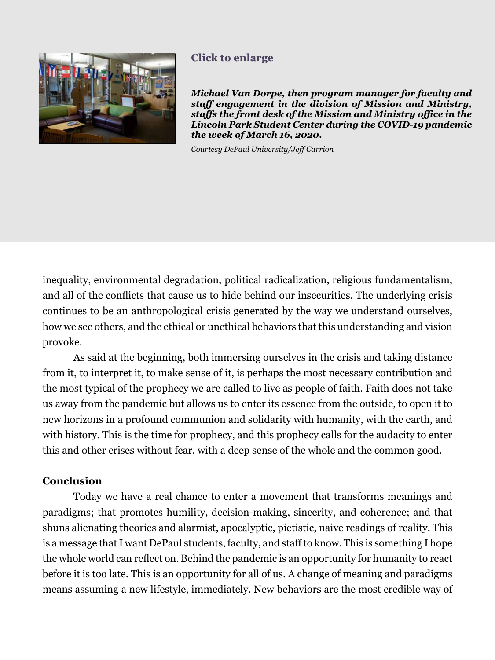<span id="page-11-0"></span>

# **[Click to enlarge](#page-15-0)**

*Michael Van Dorpe, then program manager for faculty and staff engagement in the division of Mission and Ministry, staffs the front desk of the Mission and Ministry office in the Lincoln Park Student Center during the COVID-19 pandemic the week of March 16, 2020.* 

*Courtesy DePaul University/Jeff Carrion*

inequality, environmental degradation, political radicalization, religious fundamentalism, and all of the conflicts that cause us to hide behind our insecurities. The underlying crisis continues to be an anthropological crisis generated by the way we understand ourselves, how we see others, and the ethical or unethical behaviors that this understanding and vision provoke.

As said at the beginning, both immersing ourselves in the crisis and taking distance from it, to interpret it, to make sense of it, is perhaps the most necessary contribution and the most typical of the prophecy we are called to live as people of faith. Faith does not take us away from the pandemic but allows us to enter its essence from the outside, to open it to new horizons in a profound communion and solidarity with humanity, with the earth, and with history. This is the time for prophecy, and this prophecy calls for the audacity to enter this and other crises without fear, with a deep sense of the whole and the common good.

#### **Conclusion**

Today we have a real chance to enter a movement that transforms meanings and paradigms; that promotes humility, decision-making, sincerity, and coherence; and that shuns alienating theories and alarmist, apocalyptic, pietistic, naive readings of reality. This is a message that I want DePaul students, faculty, and staff to know. This is something I hope the whole world can reflect on. Behind the pandemic is an opportunity for humanity to react before it is too late. This is an opportunity for all of us. A change of meaning and paradigms means assuming a new lifestyle, immediately. New behaviors are the most credible way of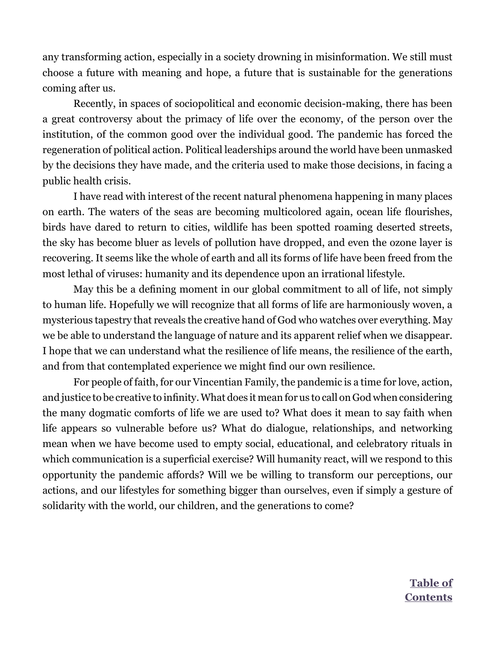any transforming action, especially in a society drowning in misinformation. We still must choose a future with meaning and hope, a future that is sustainable for the generations coming after us.

Recently, in spaces of sociopolitical and economic decision-making, there has been a great controversy about the primacy of life over the economy, of the person over the institution, of the common good over the individual good. The pandemic has forced the regeneration of political action. Political leaderships around the world have been unmasked by the decisions they have made, and the criteria used to make those decisions, in facing a public health crisis.

I have read with interest of the recent natural phenomena happening in many places on earth. The waters of the seas are becoming multicolored again, ocean life flourishes, birds have dared to return to cities, wildlife has been spotted roaming deserted streets, the sky has become bluer as levels of pollution have dropped, and even the ozone layer is recovering. It seems like the whole of earth and all its forms of life have been freed from the most lethal of viruses: humanity and its dependence upon an irrational lifestyle.

May this be a defining moment in our global commitment to all of life, not simply to human life. Hopefully we will recognize that all forms of life are harmoniously woven, a mysterious tapestry that reveals the creative hand of God who watches over everything. May we be able to understand the language of nature and its apparent relief when we disappear. I hope that we can understand what the resilience of life means, the resilience of the earth, and from that contemplated experience we might find our own resilience.

For people of faith, for our Vincentian Family, the pandemic is a time for love, action, and justice to be creative to infinity. What does it mean for us to call on God when considering the many dogmatic comforts of life we are used to? What does it mean to say faith when life appears so vulnerable before us? What do dialogue, relationships, and networking mean when we have become used to empty social, educational, and celebratory rituals in which communication is a superficial exercise? Will humanity react, will we respond to this opportunity the pandemic affords? Will we be willing to transform our perceptions, our actions, and our lifestyles for something bigger than ourselves, even if simply a gesture of solidarity with the world, our children, and the generations to come?

> **Table of [Contents](#page--1-0)**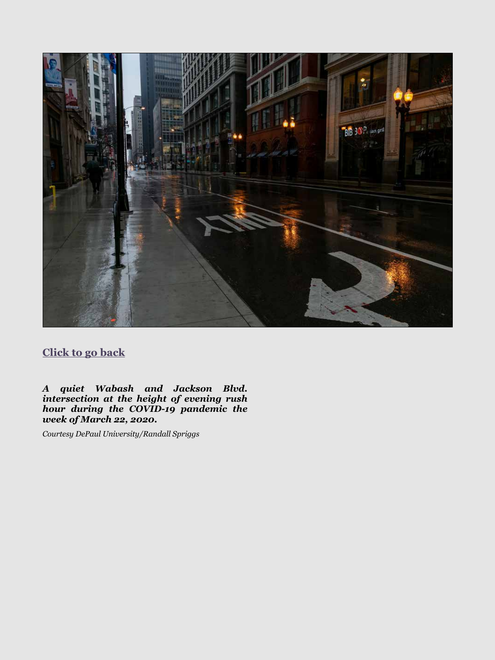<span id="page-13-0"></span>

# **[Click to go back](#page-3-0)**

*A quiet Wabash and Jackson Blvd. intersection at the height of evening rush hour during the COVID-19 pandemic the week of March 22, 2020.*

*Courtesy DePaul University/Randall Spriggs*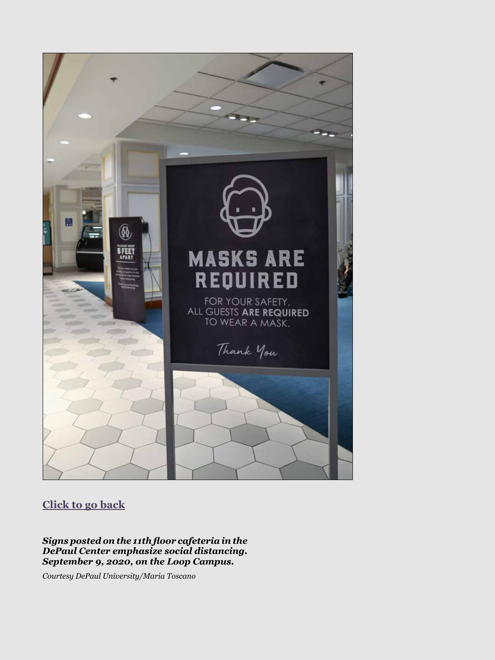<span id="page-14-0"></span>

# **[Click to go back](#page-6-0)**

*Signs posted on the 11th floor cafeteria in the DePaul Center emphasize social distancing. September 9, 2020, on the Loop Campus.* 

*Courtesy DePaul University/Maria Toscano*